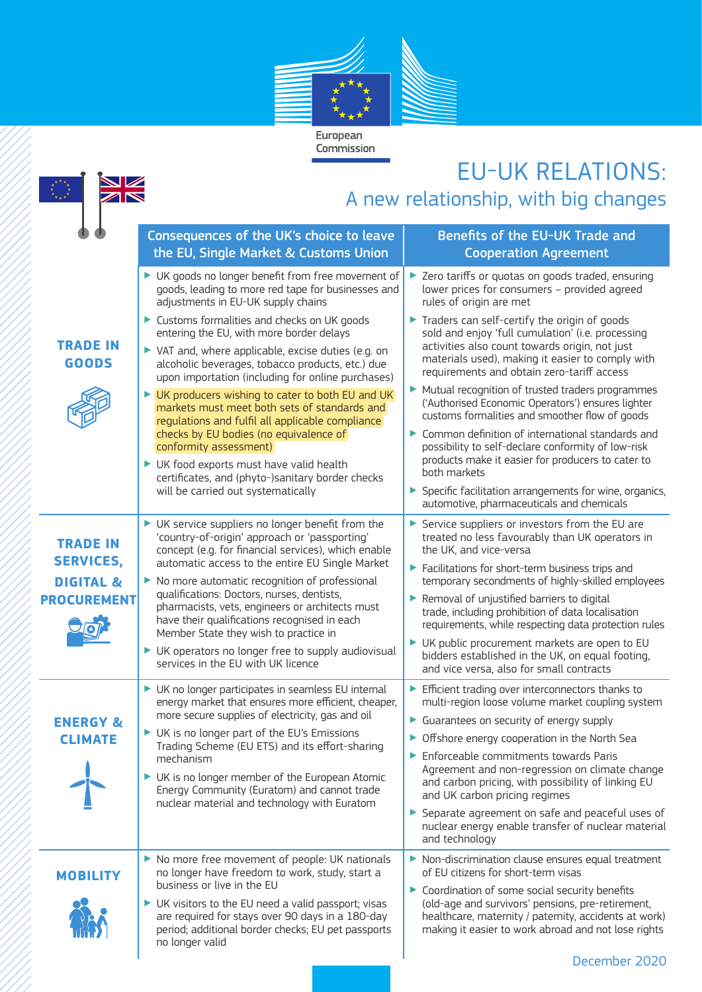

## EU-UK RELATIONS:

|                                            |                                                                                                                                                                                                                    | EUTUN KELAHUND:                                                                                                                                                                                         |
|--------------------------------------------|--------------------------------------------------------------------------------------------------------------------------------------------------------------------------------------------------------------------|---------------------------------------------------------------------------------------------------------------------------------------------------------------------------------------------------------|
| A new relationship, with big changes       |                                                                                                                                                                                                                    |                                                                                                                                                                                                         |
|                                            | Consequences of the UK's choice to leave                                                                                                                                                                           | Benefits of the EU-UK Trade and                                                                                                                                                                         |
|                                            | the EU, Single Market & Customs Union                                                                                                                                                                              | <b>Cooperation Agreement</b>                                                                                                                                                                            |
|                                            | UK goods no longer benefit from free movement of<br>goods, leading to more red tape for businesses and<br>adjustments in EU-UK supply chains                                                                       | > Zero tariffs or quotas on goods traded, ensuring<br>lower prices for consumers - provided agreed<br>rules of origin are met                                                                           |
| <b>TRADE IN</b>                            | Customs formalities and checks on UK goods<br>entering the EU, with more border delays<br>▶ VAT and, where applicable, excise duties (e.g. on                                                                      | Traders can self-certify the origin of goods<br>sold and enjoy 'full cumulation' (i.e. processing<br>activities also count towards origin, not just<br>materials used), making it easier to comply with |
| <b>GOODS</b>                               | alcoholic beverages, tobacco products, etc.) due<br>upon importation (including for online purchases)<br>UK producers wishing to cater to both EU and UK<br>markets must meet both sets of standards and           | requirements and obtain zero-tariff access<br>Mutual recognition of trusted traders programmes<br>('Authorised Economic Operators') ensures lighter<br>customs formalities and smoother flow of goods   |
|                                            | regulations and fulfil all applicable compliance<br>checks by EU bodies (no equivalence of<br>conformity assessment)<br>UK food exports must have valid health<br>certificates, and (phyto-)sanitary border checks | Common definition of international standards and<br>possibility to self-declare conformity of low-risk<br>products make it easier for producers to cater to<br>both markets                             |
|                                            | will be carried out systematically                                                                                                                                                                                 | Specific facilitation arrangements for wine, organics,<br>automotive, pharmaceuticals and chemicals                                                                                                     |
| <b>TRADE IN</b><br><b>SERVICES,</b>        | UK service suppliers no longer benefit from the<br>'country-of-origin' approach or 'passporting'<br>concept (e.g. for financial services), which enable                                                            | Service suppliers or investors from the EU are<br>treated no less favourably than UK operators in<br>the UK, and vice-versa                                                                             |
| <b>DIGITAL &amp;</b><br><b>PROCUREMENT</b> | automatic access to the entire EU Single Market<br>No more automatic recognition of professional<br>▶<br>qualifications: Doctors, nurses, dentists,                                                                | Facilitations for short-term business trips and<br>temporary secondments of highly-skilled employees<br>Removal of unjustified barriers to digital                                                      |
|                                            | pharmacists, vets, engineers or architects must<br>have their qualifications recognised in each<br>Member State they wish to practice in                                                                           | trade, including prohibition of data localisation<br>requirements, while respecting data protection rules                                                                                               |
|                                            | UK operators no longer free to supply audiovisual<br>services in the EU with UK licence                                                                                                                            | UK public procurement markets are open to EU<br>bidders established in the UK, on equal footing,<br>and vice versa, also for small contracts                                                            |
| <b>ENERGY &amp;</b>                        | UK no longer participates in seamless EU internal<br>energy market that ensures more efficient, cheaper,<br>more secure supplies of electricity, gas and oil                                                       | Efficient trading over interconnectors thanks to<br>multi-region loose volume market coupling system<br>Guarantees on security of energy supply                                                         |
| <b>CLIMATE</b>                             | UK is no longer part of the EU's Emissions<br>Trading Scheme (EU ETS) and its effort-sharing<br>mechanism                                                                                                          | • Offshore energy cooperation in the North Sea<br>Enforceable commitments towards Paris<br>Agreement and non-regression on climate change                                                               |
|                                            | UK is no longer member of the European Atomic<br>Energy Community (Euratom) and cannot trade<br>nuclear material and technology with Euratom                                                                       | and carbon pricing, with possibility of linking EU<br>and UK carbon pricing regimes<br>Separate agreement on safe and peaceful uses of                                                                  |
|                                            |                                                                                                                                                                                                                    | nuclear energy enable transfer of nuclear material<br>and technology                                                                                                                                    |
| <b>MOBILITY</b>                            | No more free movement of people: UK nationals<br>no longer have freedom to work, study, start a<br>business or live in the EU                                                                                      | Non-discrimination clause ensures equal treatment<br>of EU citizens for short-term visas<br>Coordination of some social security benefits                                                               |
|                                            | $\blacktriangleright$ UK visitors to the EU need a valid passport; visas<br>are required for stays over 90 days in a 180-day<br>period; additional border checks; EU pet passports<br>no longer valid              | (old-age and survivors' pensions, pre-retirement,<br>healthcare, maternity / paternity, accidents at work)<br>making it easier to work abroad and not lose rights                                       |
|                                            |                                                                                                                                                                                                                    | December 2020                                                                                                                                                                                           |